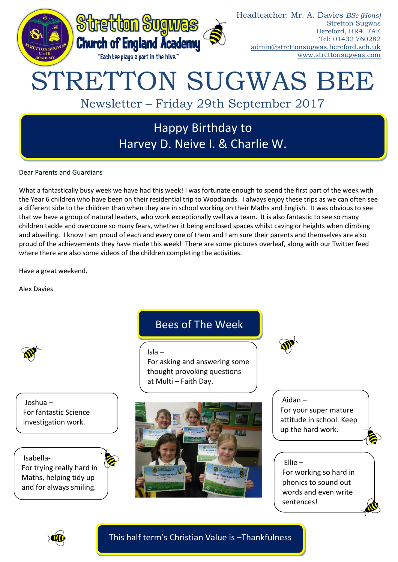

Dear Parents and Guardians

What a fantastically busy week we have had this week! I was fortunate enough to spend the first part of the week with the Year 6 children who have been on their residential trip to Woodlands. I always enjoy these trips as we can often see a different side to the children than when they are in school working on their Maths and English. It was obvious to see that we have a group of natural leaders, who work exceptionally well as a team. It is also fantastic to see so many children tackle and overcome so many fears, whether it being enclosed spaces whilst caving or heights when climbing and abseiling. I know I am proud of each and every one of them and I am sure their parents and themselves are also proud of the achievements they have made this week! There are some pictures overleaf, along with our Twitter feed where there are also some videos of the children completing the activities.

Have a great weekend.

Alex Davies



Joshua – For fantastic Science investigation work.

Isabella-For trying really hard in Maths, helping tidy up

and for always smiling.



# Bees of The Week

Isla – For asking and answering some thought provoking questions at Multi – Faith Day.



Aidan – For your super mature attitude in school. Keep up the hard work.

## Ellie –

For working so hard in phonics to sound out words and even write sentences!



This half term's Christian Value is –Thankfulness